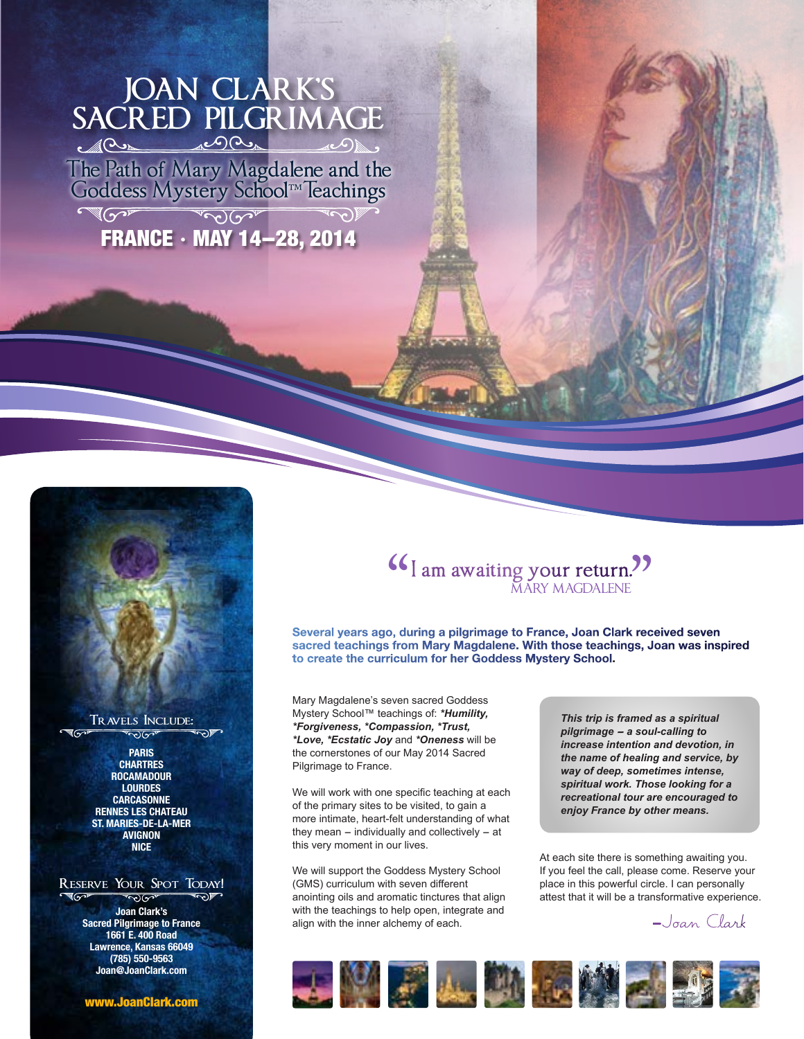## **JOAN CLARK'S SACRED PILGRIMAGE**

The Path of Mary Magdalene and the Goddess Mystery School™ leachings

 $T$ 



### **Travels Include:**

**PARIS CHARTRES ROCAMADOUR LOURDES CARCASONNE RENNES LES CHATEAU ST. MARIES-DE-LA-MER AVIGNON NICE**

#### RESERVE YOUR SPOT TODAY!  $\sqrt[3]{\gamma}$

**Joan Clark's Sacred Pilgrimage to France 1661 E. 400 Road Lawrence, Kansas 66049 (785) 550-9563 Joan@JoanClark.com**

www.JoanClark.com

# **I am awaiting your return.**<br>MARY MAGDALENE MARY MAGDALENE "<br>"

**Several years ago, during a pilgrimage to France, Joan Clark received seven sacred teachings from Mary Magdalene. With those teachings, Joan was inspired to create the curriculum for her Goddess Mystery School.**

Mary Magdalene's seven sacred Goddess Mystery School™ teachings of: *\*Humility, \*Forgiveness, \*Compassion, \*Trust, \*Love, \*Ecstatic Joy* and *\*Oneness* will be the cornerstones of our May 2014 Sacred Pilgrimage to France.

We will work with one specific teaching at each of the primary sites to be visited, to gain a more intimate, heart-felt understanding of what they mean  $-$  individually and collectively  $-$  at this very moment in our lives.

We will support the Goddess Mystery School (GMS) curriculum with seven different anointing oils and aromatic tinctures that align with the teachings to help open, integrate and align with the inner alchemy of each.

*This trip is framed as a spiritual pilgrimage - a soul-calling to increase intention and devotion, in the name of healing and service, by way of deep, sometimes intense, spiritual work. Those looking for a recreational tour are encouraged to enjoy France by other means.*

At each site there is something awaiting you. If you feel the call, please come. Reserve your place in this powerful circle. I can personally attest that it will be a transformative experience.

-Joan Clark

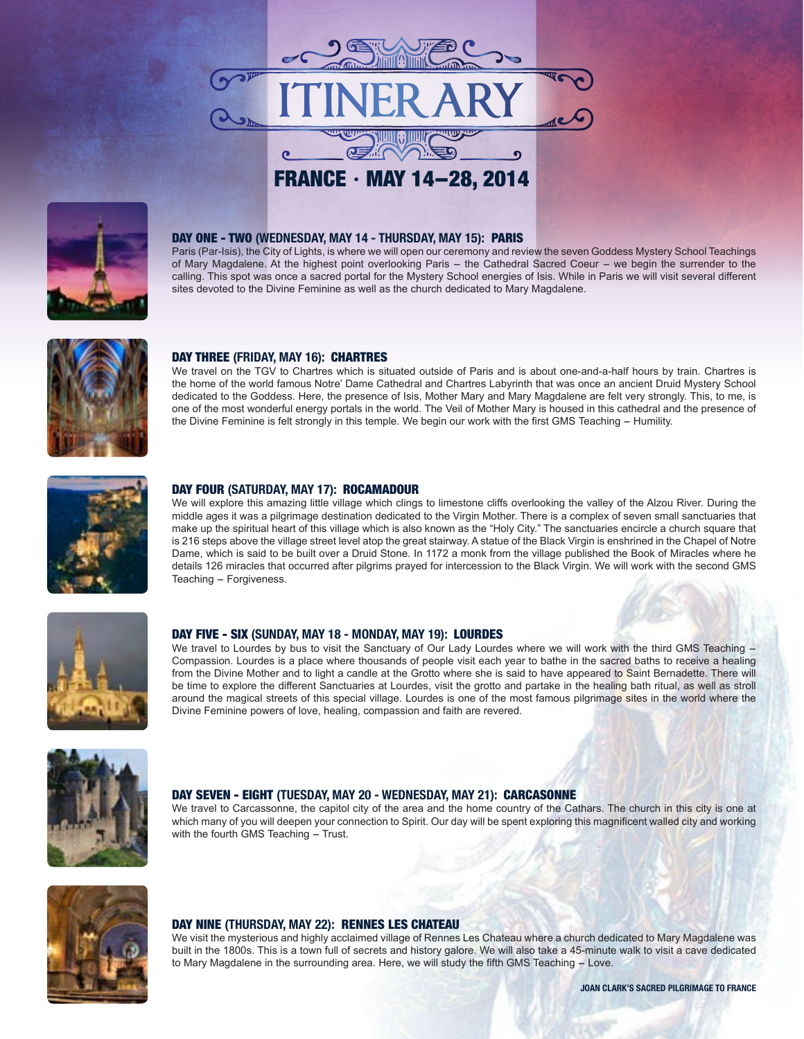



#### DAY ONE - TWO **(WEDNESDAY, MAY 14 - THURSDAY, MAY 15):** PARIS

Paris (Par-Isis), the City of Lights, is where we will open our ceremony and review the seven Goddess Mystery School Teachings of Mary Magdalene. At the highest point overlooking Paris - the Cathedral Sacred Coeur - we begin the surrender to the calling. This spot was once a sacred portal for the Mystery School energies of Isis. While in Paris we will visit several different sites devoted to the Divine Feminine as well as the church dedicated to Mary Magdalene.



#### DAY THREE **(FRIDAY, MAY 16):** CHARTRES

We travel on the TGV to Chartres which is situated outside of Paris and is about one-and-a-half hours by train. Chartres is the home of the world famous Notre' Dame Cathedral and Chartres Labyrinth that was once an ancient Druid Mystery School dedicated to the Goddess. Here, the presence of Isis, Mother Mary and Mary Magdalene are felt very strongly. This, to me, is one of the most wonderful energy portals in the world. The Veil of Mother Mary is housed in this cathedral and the presence of the Divine Feminine is felt strongly in this temple. We begin our work with the first GMS Teaching - Humility.



#### DAY FOUR **(SATURDAY, MAY 17):** ROCAMADOUR

We will explore this amazing little village which clings to limestone cliffs overlooking the valley of the Alzou River. During the middle ages it was a pilgrimage destination dedicated to the Virgin Mother. There is a complex of seven small sanctuaries that make up the spiritual heart of this village which is also known as the "Holy City." The sanctuaries encircle a church square that is 216 steps above the village street level atop the great stairway. A statue of the Black Virgin is enshrined in the Chapel of Notre Dame, which is said to be built over a Druid Stone. In 1172 a monk from the village published the Book of Miracles where he details 126 miracles that occurred after pilgrims prayed for intercession to the Black Virgin. We will work with the second GMS Teaching - Forgiveness.



#### DAY FIVE - SIX **(SUNDAY, MAY 18 - MONDAY, MAY 19):** LOURDES

We travel to Lourdes by bus to visit the Sanctuary of Our Lady Lourdes where we will work with the third GMS Teaching - Compassion. Lourdes is a place where thousands of people visit each year to bathe in the sacred baths to receive a healing from the Divine Mother and to light a candle at the Grotto where she is said to have appeared to Saint Bernadette. There will be time to explore the different Sanctuaries at Lourdes, visit the grotto and partake in the healing bath ritual, as well as stroll around the magical streets of this special village. Lourdes is one of the most famous pilgrimage sites in the world where the Divine Feminine powers of love, healing, compassion and faith are revered.



#### DAY SEVEN - EIGHT **(TUESDAY, MAY 20 - WEDNESDAY, MAY 21):** CARCASONNE

We travel to Carcassonne, the capitol city of the area and the home country of the Cathars. The church in this city is one at which many of you will deepen your connection to Spirit. Our day will be spent exploring this magnificent walled city and working with the fourth GMS Teaching  $-$  Trust.



#### DAY NINE **(THURSDAY, MAY 22):** RENNES LES CHATEAU

We visit the mysterious and highly acclaimed village of Rennes Les Chateau where a church dedicated to Mary Magdalene was built in the 1800s. This is a town full of secrets and history galore. We will also take a 45-minute walk to visit a cave dedicated to Mary Magdalene in the surrounding area. Here, we will study the fifth GMS Teaching - Love.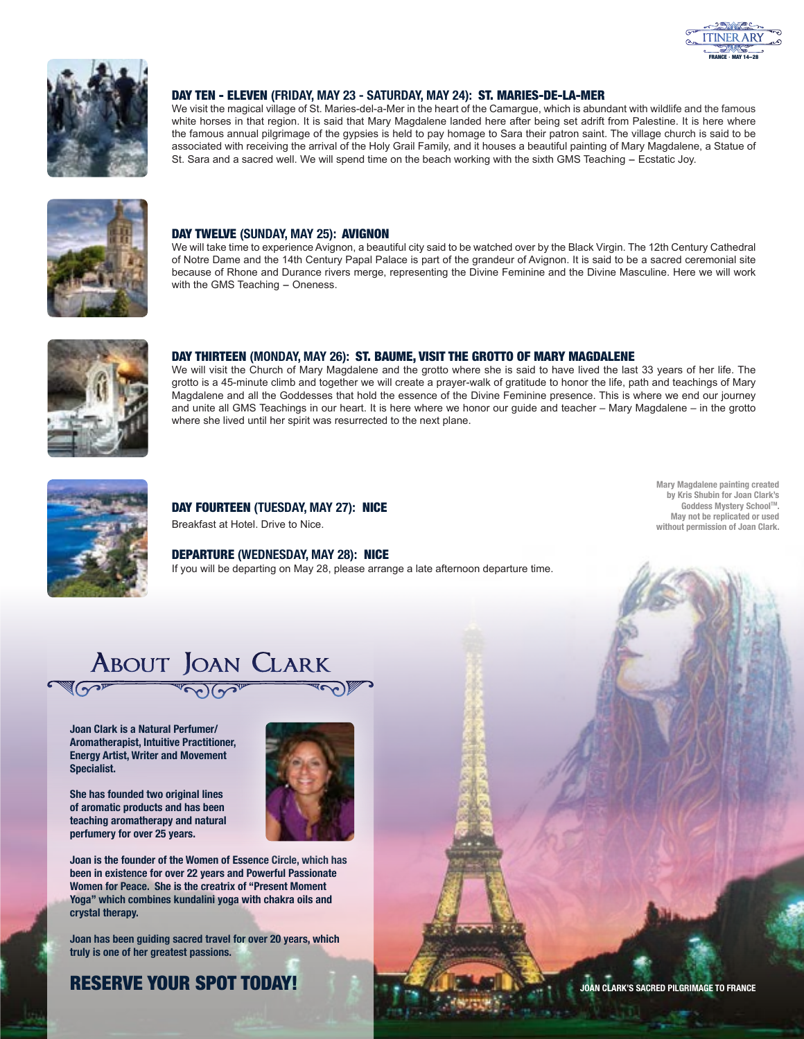



#### DAY TEN - ELEVEN **(FRIDAY, MAY 23 - SATURDAY, MAY 24):** ST. MARIES-DE-LA-MER

We visit the magical village of St. Maries-del-a-Mer in the heart of the Camargue, which is abundant with wildlife and the famous white horses in that region. It is said that Mary Magdalene landed here after being set adrift from Palestine. It is here where the famous annual pilgrimage of the gypsies is held to pay homage to Sara their patron saint. The village church is said to be associated with receiving the arrival of the Holy Grail Family, and it houses a beautiful painting of Mary Magdalene, a Statue of St. Sara and a sacred well. We will spend time on the beach working with the sixth GMS Teaching - Ecstatic Joy.



#### DAY TWELVE **(SUNDAY, MAY 25):** AVIGNON

We will take time to experience Avignon, a beautiful city said to be watched over by the Black Virgin. The 12th Century Cathedral of Notre Dame and the 14th Century Papal Palace is part of the grandeur of Avignon. It is said to be a sacred ceremonial site because of Rhone and Durance rivers merge, representing the Divine Feminine and the Divine Masculine. Here we will work with the GMS Teaching - Oneness.



#### DAY THIRTEEN **(MONDAY, MAY 26):** ST. BAUME, VISIT THE GROTTO OF MARY MAGDALENE

We will visit the Church of Mary Magdalene and the grotto where she is said to have lived the last 33 years of her life. The grotto is a 45-minute climb and together we will create a prayer-walk of gratitude to honor the life, path and teachings of Mary Magdalene and all the Goddesses that hold the essence of the Divine Feminine presence. This is where we end our journey and unite all GMS Teachings in our heart. It is here where we honor our guide and teacher – Mary Magdalene – in the grotto where she lived until her spirit was resurrected to the next plane.



#### DAY FOURTEEN **(TUESDAY, MAY 27):** NICE Breakfast at Hotel. Drive to Nice.

DEPARTURE **(WEDNESDAY, MAY 28):** NICE

If you will be departing on May 28, please arrange a late afternoon departure time.

**Mary Magdalene painting created by Kris Shubin for Joan Clark's Goddess Mystery School™ May not be replicated or used without permission of Joan Clark.**

# **About Joan Clark**

**Joan Clark is a Natural Perfumer/ Aromatherapist, Intuitive Practitioner, Energy Artist, Writer and Movement Specialist.**

**She has founded two original lines of aromatic products and has been teaching aromatherapy and natural perfumery for over 25 years.** 



**Joan is the founder of the Women of Essence Circle, which has been in existence for over 22 years and Powerful Passionate Women for Peace. She is the creatrix of "Present Moment Yoga" which combines kundalini yoga with chakra oils and crystal therapy.**

**Joan has been guiding sacred travel for over 20 years, which truly is one of her greatest passions.**

### RESERVE YOUR SPOT TODAY!